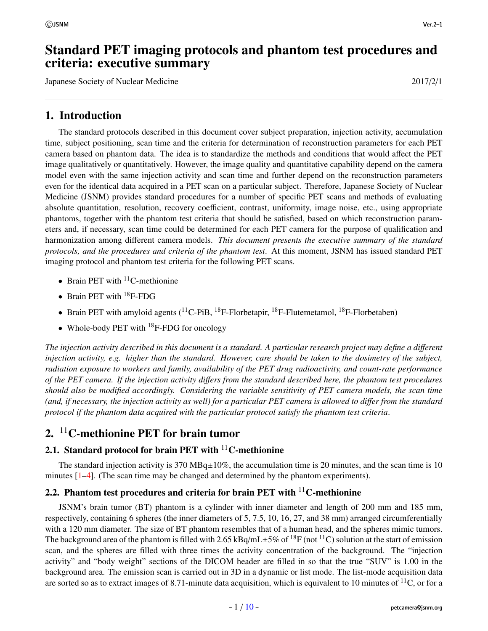## Standard PET imaging protocols and phantom test procedures and criteria: executive summary

Japanese Society of Nuclear Medicine 2017/2/1

## 1. Introduction

The standard protocols described in this document cover subject preparation, injection activity, accumulation time, subject positioning, scan time and the criteria for determination of reconstruction parameters for each PET camera based on phantom data. The idea is to standardize the methods and conditions that would affect the PET image qualitatively or quantitatively. However, the image quality and quantitative capability depend on the camera model even with the same injection activity and scan time and further depend on the reconstruction parameters even for the identical data acquired in a PET scan on a particular subject. Therefore, Japanese Society of Nuclear Medicine (JSNM) provides standard procedures for a number of specific PET scans and methods of evaluating absolute quantitation, resolution, recovery coefficient, contrast, uniformity, image noise, etc., using appropriate phantoms, together with the phantom test criteria that should be satisfied, based on which reconstruction parameters and, if necessary, scan time could be determined for each PET camera for the purpose of qualification and harmonization among different camera models. *This document presents the executive summary of the standard protocols, and the procedures and criteria of the phantom test*. At this moment, JSNM has issued standard PET imaging protocol and phantom test criteria for the following PET scans.

- Brain PET with  ${}^{11}$ C-methionine
- Brain PET with  $^{18}$ F-FDG
- Brain PET with amyloid agents  $(^{11}C-PiB$ ,  $^{18}F-Florbetaapir$ ,  $^{18}F-Flutemetamol$ ,  $^{18}F-Florbetaaben)$
- Whole-body PET with  $^{18}$ F-FDG for oncology

*The injection activity described in this document is a standard. A particular research project may define a di*ff*erent injection activity, e.g. higher than the standard. However, care should be taken to the dosimetry of the subject, radiation exposure to workers and family, availability of the PET drug radioactivity, and count-rate performance of the PET camera. If the injection activity di*ff*ers from the standard described here, the phantom test procedures should also be modified accordingly. Considering the variable sensitivity of PET camera models, the scan time (and, if necessary, the injection activity as well) for a particular PET camera is allowed to di*ff*er from the standard protocol if the phantom data acquired with the particular protocol satisfy the phantom test criteria*.

## 2. <sup>11</sup>C-methionine PET for brain tumor

### <span id="page-0-0"></span>2.1. Standard protocol for brain PET with  $11^{\circ}$ C-methionine

The standard injection activity is 370  $MBq\pm10\%$ , the accumulation time is 20 minutes, and the scan time is 10 minutes [[1](#page-7-0)–[4\]](#page-7-1). (The scan time may be changed and determined by the phantom experiments).

### 2.2. Phantom test procedures and criteria for brain PET with  $^{11}$ C-methionine

JSNM's brain tumor (BT) phantom is a cylinder with inner diameter and length of 200 mm and 185 mm, respectively, containing 6 spheres (the inner diameters of 5, 7.5, 10, 16, 27, and 38 mm) arranged circumferentially with a 120 mm diameter. The size of BT phantom resembles that of a human head, and the spheres mimic tumors. The background area of the phantom is filled with 2.65 kBq/mL $\pm$ 5% of <sup>18</sup>F (not <sup>11</sup>C) solution at the start of emission scan, and the spheres are filled with three times the activity concentration of the background. The "injection activity" and "body weight" sections of the DICOM header are filled in so that the true "SUV" is 1.00 in the background area. The emission scan is carried out in 3D in a dynamic or list mode. The list-mode acquisition data are sorted so as to extract images of 8.71-minute data acquisition, which is equivalent to 10 minutes of  $^{11}C$ , or for a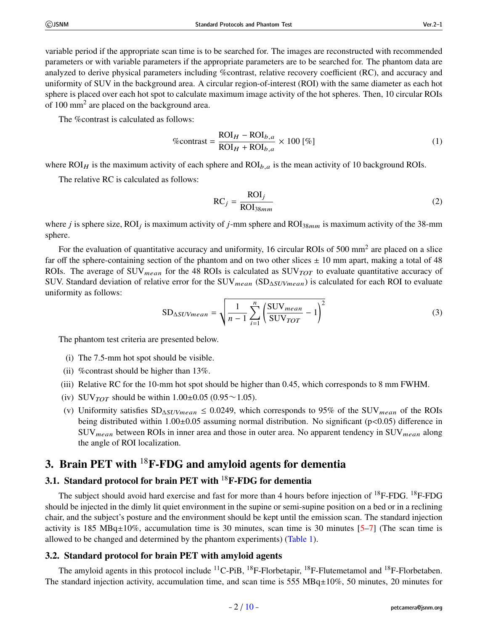variable period if the appropriate scan time is to be searched for. The images are reconstructed with recommended parameters or with variable parameters if the appropriate parameters are to be searched for. The phantom data are analyzed to derive physical parameters including %contrast, relative recovery coefficient (RC), and accuracy and uniformity of SUV in the background area. A circular region-of-interest (ROI) with the same diameter as each hot sphere is placed over each hot spot to calculate maximum image activity of the hot spheres. Then, 10 circular ROIs of 100 mm<sup>2</sup> are placed on the background area.

The %contrast is calculated as follows:

$$
\% \text{contrast} = \frac{\text{ROI}_H - \text{ROI}_{b,a}}{\text{ROI}_H + \text{ROI}_{b,a}} \times 100 \, [\%]
$$
 (1)

where  $ROI<sub>H</sub>$  is the maximum activity of each sphere and  $ROI<sub>b,a</sub>$  is the mean activity of 10 background ROIs.

The relative RC is calculated as follows:

$$
RC_j = \frac{ROI_j}{ROI_{38mm}}
$$
 (2)

where *j* is sphere size, ROI<sub>j</sub> is maximum activity of *j*-mm sphere and ROI<sub>38mm</sub> is maximum activity of the 38-mm sphere.

For the evaluation of quantitative accuracy and uniformity, 16 circular ROIs of 500 mm<sup>2</sup> are placed on a slice far off the sphere-containing section of the phantom and on two other slices  $\pm$  10 mm apart, making a total of 48 ROIs. The average of SUV<sub>mean</sub> for the 48 ROIs is calculated as SUV $_{TOT}$  to evaluate quantitative accuracy of SUV. Standard deviation of relative error for the SUV<sub>mean</sub> (SD<sub>∆SUVmean</sub>) is calculated for each ROI to evaluate uniformity as follows:

$$
SD_{\Delta SUVmean} = \sqrt{\frac{1}{n-1} \sum_{i=1}^{n} \left( \frac{\text{SUV}_{mean}}{\text{SUV}_{TOT}} - 1 \right)^2}
$$
(3)

The phantom test criteria are presented below.

- (i) The 7.5-mm hot spot should be visible.
- (ii) %contrast should be higher than 13%.
- (iii) Relative RC for the 10-mm hot spot should be higher than 0.45, which corresponds to 8 mm FWHM.
- (iv) SUV $_{TOT}$  should be within 1.00±0.05 (0.95 $\sim$ 1.05).
- (v) Uniformity satisfies  $SD_{\Delta SUVmean} \leq 0.0249$ , which corresponds to 95% of the SUV<sub>mean</sub> of the ROIs being distributed within 1.00±0.05 assuming normal distribution. No significant (p<0.05) difference in  $\text{SUV}_{mean}$  between ROIs in inner area and those in outer area. No apparent tendency in  $\text{SUV}_{mean}$  along the angle of ROI localization.

# 3. Brain PET with  ${}^{18}$ F-FDG and amyloid agents for dementia

# <span id="page-1-0"></span>3.1. Standard protocol for brain PET with  ${}^{18}$ F-FDG for dementia

The subject should avoid hard exercise and fast for more than 4 hours before injection of <sup>18</sup>F-FDG. <sup>18</sup>F-FDG should be injected in the dimly lit quiet environment in the supine or semi-supine position on a bed or in a reclining chair, and the subject's posture and the environment should be kept until the emission scan. The standard injection activity is 185 MBq $\pm 10\%$ , accumulation time is 30 minutes, scan time is 30 minutes [\[5–](#page-7-2)[7\]](#page-7-3) (The scan time is allowed to be changed and determined by the phantom experiments) [\(Table 1](#page-3-0)).

#### <span id="page-1-1"></span>3.2. Standard protocol for brain PET with amyloid agents

The amyloid agents in this protocol include  ${}^{11}$ C-PiB,  ${}^{18}$ F-Florbetapir,  ${}^{18}$ F-Flutemetamol and  ${}^{18}$ F-Florbetaben. The standard injection activity, accumulation time, and scan time is 555 MBq $\pm 10\%$ , 50 minutes, 20 minutes for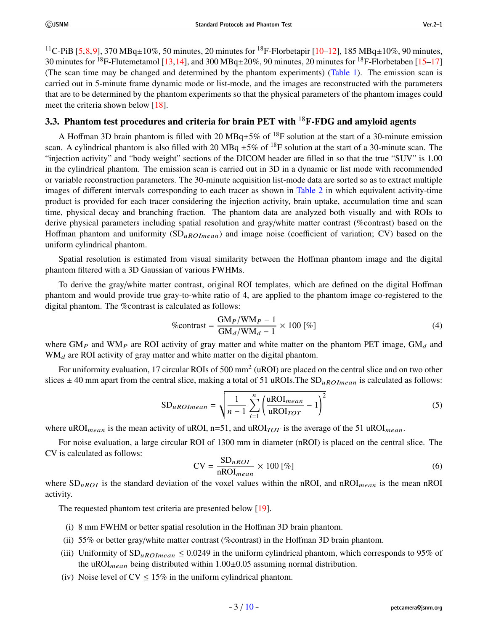<sup>11</sup>C-PiB [\[5,](#page-7-2)[8,](#page-7-4)[9](#page-7-5)], 370 MBq±10%, 50 minutes, 20 minutes for <sup>18</sup>F-Florbetapir [\[10](#page-7-6)–[12\]](#page-7-7), 185 MBq±10%, 90 minutes, 30 minutes for <sup>18</sup>F-Flutemetamol [\[13](#page-7-8),[14](#page-7-9)], and 300 MBq $\pm$ 20%, 90 minutes, 20 minutes for <sup>18</sup>F-Florbetaben [\[15](#page-7-10)–[17\]](#page-7-11) (The scan time may be changed and determined by the phantom experiments) [\(Table 1](#page-3-0)). The emission scan is carried out in 5-minute frame dynamic mode or list-mode, and the images are reconstructed with the parameters that are to be determined by the phantom experiments so that the physical parameters of the phantom images could meet the criteria shown below [[18\]](#page-8-0).

### 3.3. Phantom test procedures and criteria for brain PET with  ${}^{18}$ F-FDG and amyloid agents

A Hoffman 3D brain phantom is filled with 20 MBq $\pm$ 5% of <sup>18</sup>F solution at the start of a 30-minute emission scan. A cylindrical phantom is also filled with 20 MBq  $\pm 5\%$  of <sup>18</sup>F solution at the start of a 30-minute scan. The "injection activity" and "body weight" sections of the DICOM header are filled in so that the true "SUV" is 1.00 in the cylindrical phantom. The emission scan is carried out in 3D in a dynamic or list mode with recommended or variable reconstruction parameters. The 30-minute acquisition list-mode data are sorted so as to extract multiple images of different intervals corresponding to each tracer as shown in [Table 2](#page-3-1) in which equivalent activity-time product is provided for each tracer considering the injection activity, brain uptake, accumulation time and scan time, physical decay and branching fraction. The phantom data are analyzed both visually and with ROIs to derive physical parameters including spatial resolution and gray/white matter contrast (%contrast) based on the Hoffman phantom and uniformity  $(SD_{uROLmean})$  and image noise (coefficient of variation; CV) based on the uniform cylindrical phantom.

Spatial resolution is estimated from visual similarity between the Hoffman phantom image and the digital phantom filtered with a 3D Gaussian of various FWHMs.

To derive the gray/white matter contrast, original ROI templates, which are defined on the digital Hoffman phantom and would provide true gray-to-white ratio of 4, are applied to the phantom image co-registered to the digital phantom. The %contrast is calculated as follows:

$$
\% \text{contrast} = \frac{\text{GM}_P/\text{WM}_P - 1}{\text{GM}_d/\text{WM}_d - 1} \times 100 \, [\%]
$$
 (4)

where  $GM_P$  and WM<sub>P</sub> are ROI activity of gray matter and white matter on the phantom PET image,  $GM_d$  and  $WM_d$  are ROI activity of gray matter and white matter on the digital phantom.

For uniformity evaluation, 17 circular ROIs of 500 mm<sup>2</sup> (uROI) are placed on the central slice and on two other slices  $\pm$  40 mm apart from the central slice, making a total of 51 uROIs. The SD<sub>uROImean</sub> is calculated as follows:

$$
SD_{uROImean} = \sqrt{\frac{1}{n-1} \sum_{i=1}^{n} \left( \frac{\text{uROI}_{mean}}{\text{uROI}_{TOT}} - 1 \right)^2}
$$
(5)

where uROI<sub>mean</sub> is the mean activity of uROI, n=51, and uROI<sub>TOT</sub> is the average of the 51 uROI<sub>mean</sub>.

For noise evaluation, a large circular ROI of 1300 mm in diameter (nROI) is placed on the central slice. The CV is calculated as follows:

<span id="page-2-0"></span>
$$
CV = \frac{SD_{nROI}}{nROI_{mean}} \times 100 \, [\%]
$$
 (6)

where  $SD_{nROI}$  is the standard deviation of the voxel values within the nROI, and nROI<sub>mean</sub> is the mean nROI activity.

The requested phantom test criteria are presented below [[19](#page-8-1)].

- (i) 8 mm FWHM or better spatial resolution in the Hoffman 3D brain phantom.
- (ii) 55% or better gray/white matter contrast (% contrast) in the Hoffman 3D brain phantom.
- (iii) Uniformity of  $SD_{uROImean} \leq 0.0249$  in the uniform cylindrical phantom, which corresponds to 95% of the uROI<sub>mean</sub> being distributed within  $1.00\pm0.05$  assuming normal distribution.
- (iv) Noise level of  $CV \le 15\%$  in the uniform cylindrical phantom.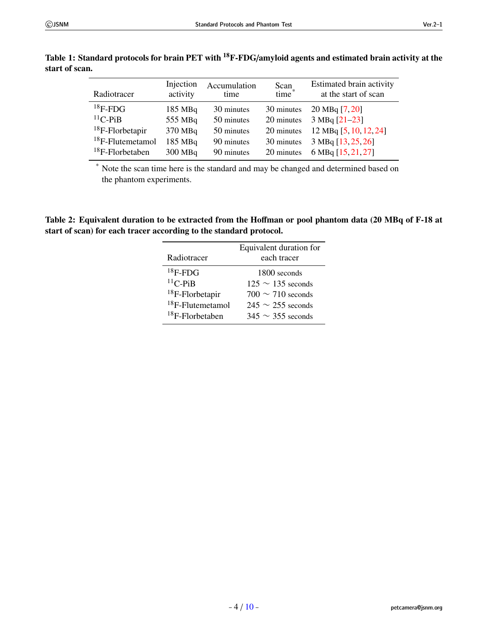<span id="page-3-0"></span>

| Radiotracer         | Injection<br>activity | Accumulation<br>time | Scan <sub>*</sub> | Estimated brain activity<br>at the start of scan |
|---------------------|-----------------------|----------------------|-------------------|--------------------------------------------------|
| $18$ F-FDG          | $185$ MBq             | 30 minutes           | 30 minutes        | $20 \text{ MBq} [7, 20]$                         |
| $^{11}$ C-PiB       | 555 MBq               | 50 minutes           | 20 minutes        | $3 MBq [21-23]$                                  |
| $18$ F-Florbetapir  | 370 MBq               | 50 minutes           | 20 minutes        | 12 MBq [5, 10, 12, 24]                           |
| $18$ F-Flutemetamol | 185 MBq               | 90 minutes           | 30 minutes        | 3 MBq [13, 25, 26]                               |
| $18F$ -Florbetaben  | 300 MBq               | 90 minutes           | 20 minutes        | 6 MBq [15, 21, 27]                               |

Table 1: Standard protocols for brain PET with <sup>18</sup>F-FDG/amyloid agents and estimated brain activity at the start of scan.

> \* Note the scan time here is the standard and may be changed and determined based on the phantom experiments.

<span id="page-3-1"></span>Table 2: Equivalent duration to be extracted from the Hoffman or pool phantom data (20 MBq of F-18 at start of scan) for each tracer according to the standard protocol.

| Radiotracer         | Equivalent duration for<br>each tracer |  |
|---------------------|----------------------------------------|--|
| $18F$ -FDG          | 1800 seconds                           |  |
| ${}^{11}C$ -PiB     | $125 \sim 135$ seconds                 |  |
| $18$ F-Florbetapir  | $700 \sim 710$ seconds                 |  |
| $18$ F-Flutemetamol | $245 \sim 255$ seconds                 |  |
| $18F$ -Florbetaben  | $345 \sim 355$ seconds                 |  |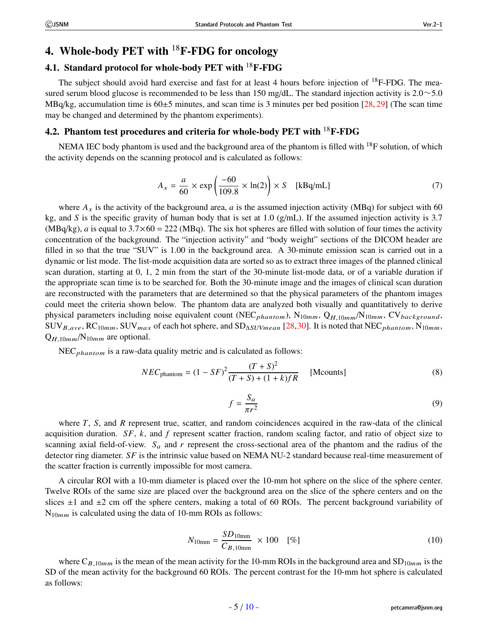## 4. Whole-body PET with  $^{18}$ F-FDG for oncology

## <span id="page-4-0"></span>4.1. Standard protocol for whole-body PET with <sup>18</sup>F-FDG

The subject should avoid hard exercise and fast for at least 4 hours before injection of  $^{18}F\text{-FDG}$ . The measured serum blood glucose is recommended to be less than 150 mg/dL. The standard injection activity is  $2.0 \sim 5.0$ MBq/kg, accumulation time is  $60\pm5$  minutes, and scan time is 3 minutes per bed position [\[28](#page-8-9), [29](#page-8-10)] (The scan time may be changed and determined by the phantom experiments).

# 4.2. Phantom test procedures and criteria for whole-body PET with  $^{18}$ F-FDG

NEMA IEC body phantom is used and the background area of the phantom is filled with  $^{18}F$  solution, of which the activity depends on the scanning protocol and is calculated as follows:

<span id="page-4-1"></span>
$$
A_x = \frac{a}{60} \times \exp\left(\frac{-60}{109.8} \times \ln(2)\right) \times S \quad [\text{kBq/mL}] \tag{7}
$$

where  $A_x$  is the activity of the background area, a is the assumed injection activity (MBq) for subject with 60 kg, and S is the specific gravity of human body that is set at 1.0  $(g/mL)$ . If the assumed injection activity is 3.7  $(MBq/kg)$ , a is equal to  $3.7 \times 60 = 222$  (MBq). The six hot spheres are filled with solution of four times the activity concentration of the background. The "injection activity" and "body weight" sections of the DICOM header are filled in so that the true "SUV" is 1.00 in the background area. A 30-minute emission scan is carried out in a dynamic or list mode. The list-mode acquisition data are sorted so as to extract three images of the planned clinical scan duration, starting at 0, 1, 2 min from the start of the 30-minute list-mode data, or of a variable duration if the appropriate scan time is to be searched for. Both the 30-minute image and the images of clinical scan duration are reconstructed with the parameters that are determined so that the physical parameters of the phantom images could meet the criteria shown below. The phantom data are analyzed both visually and quantitatively to derive physical parameters including noise equivalent count (NEC<sub>phantom</sub>), N<sub>10mm</sub>, Q<sub>H,10mm</sub>/N<sub>10mm</sub>, CV<sub>background</sub>,  $\text{SUV}_{B,ave}$ , RC<sub>10mm</sub>, SUV<sub>max</sub> of each hot sphere, and SD<sub>∆SUVmean</sub> [[28,](#page-8-9)[30](#page-8-11)]. It is noted that NEC<sub>phantom</sub>, N<sub>10mm</sub>,  $Q_{H,10mm}/N_{10mm}$  are optional.

 $NEC<sub>phantom</sub>$  is a raw-data quality metric and is calculated as follows:

$$
NEC_{\text{phantom}} = (1 - SF)^2 \frac{(T + S)^2}{(T + S) + (1 + k)fR}
$$
 [Mcounts] (8)

$$
f = \frac{S_a}{\pi r^2} \tag{9}
$$

where  $T$ ,  $S$ , and  $R$  represent true, scatter, and random coincidences acquired in the raw-data of the clinical acquisition duration.  $SF$ , k, and f represent scatter fraction, random scaling factor, and ratio of object size to scanning axial field-of-view.  $S_a$  and r represent the cross-sectional area of the phantom and the radius of the detector ring diameter. SF is the intrinsic value based on NEMA NU-2 standard because real-time measurement of the scatter fraction is currently impossible for most camera.

A circular ROI with a 10-mm diameter is placed over the 10-mm hot sphere on the slice of the sphere center. Twelve ROIs of the same size are placed over the background area on the slice of the sphere centers and on the slices  $\pm 1$  and  $\pm 2$  cm off the sphere centers, making a total of 60 ROIs. The percent background variability of  $N_{10mm}$  is calculated using the data of 10-mm ROIs as follows:

$$
N_{10\text{mm}} = \frac{SD_{10\text{mm}}}{C_{B,10\text{mm}}} \times 100 \quad [\%]
$$
 (10)

where  $C_{B,10mm}$  is the mean of the mean activity for the 10-mm ROIs in the background area and  $SD_{10mm}$  is the SD of the mean activity for the background 60 ROIs. The percent contrast for the 10-mm hot sphere is calculated as follows: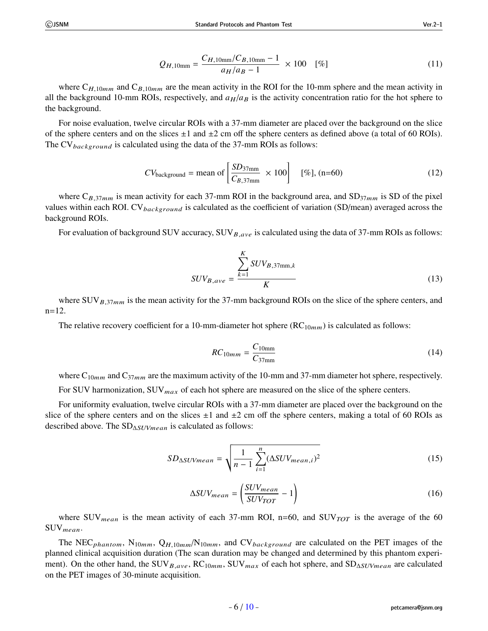$$
Q_{H,10\text{mm}} = \frac{C_{H,10\text{mm}}/C_{B,10\text{mm}} - 1}{a_H/a_B - 1} \times 100 \quad [\%]
$$
 (11)

where  $C_{H,10mm}$  and  $C_{B,10mm}$  are the mean activity in the ROI for the 10-mm sphere and the mean activity in all the background 10-mm ROIs, respectively, and  $a_H/a_B$  is the activity concentration ratio for the hot sphere to the background.

For noise evaluation, twelve circular ROIs with a 37-mm diameter are placed over the background on the slice of the sphere centers and on the slices  $\pm 1$  and  $\pm 2$  cm off the sphere centers as defined above (a total of 60 ROIs). The CV<sub>background</sub> is calculated using the data of the 37-mm ROIs as follows:

$$
CV_{\text{background}} = \text{mean of} \left[ \frac{SD_{37\text{mm}}}{C_{B,37\text{mm}}} \times 100 \right] \quad [\%], \text{(n=60)} \tag{12}
$$

where  $C_{B,37mm}$  is mean activity for each 37-mm ROI in the background area, and  $SD_{37mm}$  is SD of the pixel values within each ROI. CV<sub>background</sub> is calculated as the coefficient of variation (SD/mean) averaged across the background ROIs.

For evaluation of background SUV accuracy,  $\text{SUV}_{B,ave}$  is calculated using the data of 37-mm ROIs as follows:

$$
SUV_{B,ave} = \frac{\sum_{k=1}^{K} SUV_{B,37 \text{mm},k}}{K}
$$
\n(13)

where  $\text{SUV}_{B,37mm}$  is the mean activity for the 37-mm background ROIs on the slice of the sphere centers, and n=12.

The relative recovery coefficient for a 10-mm-diameter hot sphere  $(RC_{10mm})$  is calculated as follows:

$$
RC_{10mm} = \frac{C_{10mm}}{C_{37mm}} \tag{14}
$$

where  $C_{10mm}$  and  $C_{37mm}$  are the maximum activity of the 10-mm and 37-mm diameter hot sphere, respectively.

For SUV harmonization, SUV $_{max}$  of each hot sphere are measured on the slice of the sphere centers.

For uniformity evaluation, twelve circular ROIs with a 37-mm diameter are placed over the background on the slice of the sphere centers and on the slices  $\pm 1$  and  $\pm 2$  cm off the sphere centers, making a total of 60 ROIs as described above. The  $SD_{\Delta SUVmean}$  is calculated as follows:

$$
SD_{\Delta SUVmean} = \sqrt{\frac{1}{n-1} \sum_{i=1}^{n} (\Delta SUV_{mean,i})^2}
$$
 (15)

$$
\Delta SUV_{mean} = \left(\frac{SUV_{mean}}{SUV_{TOT}} - 1\right) \tag{16}
$$

where SUV<sub>mean</sub> is the mean activity of each 37-mm ROI, n=60, and SUV $_{TOT}$  is the average of the 60 SUVmean.

The NEC<sub>phantom</sub>, N<sub>10mm</sub>, Q<sub>H,10mm</sub>/N<sub>10mm</sub>, and CV<sub>background</sub> are calculated on the PET images of the planned clinical acquisition duration (The scan duration may be changed and determined by this phantom experiment). On the other hand, the SUV<sub>B,ave</sub>, RC<sub>10mm</sub>, SUV<sub>max</sub> of each hot sphere, and SD<sub>∆SUVmean</sub> are calculated on the PET images of 30-minute acquisition.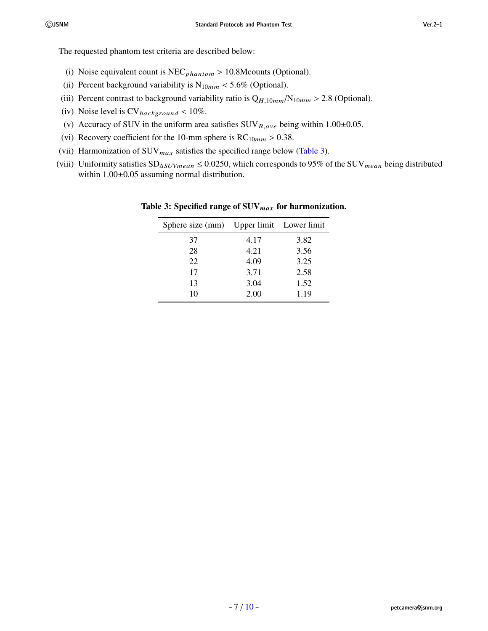The requested phantom test criteria are described below:

- (i) Noise equivalent count is  $NEC_{phantom} > 10.8$ Mcounts (Optional).
- (ii) Percent background variability is  $N_{10mm}$  < 5.6% (Optional).
- (iii) Percent contrast to background variability ratio is  $Q_{H,10mm}/N_{10mm} > 2.8$  (Optional).
- (iv) Noise level is  $CV_{background} < 10\%$ .
- (v) Accuracy of SUV in the uniform area satisfies  $\text{SUV}_{B,ave}$  being within 1.00±0.05.
- (vi) Recovery coefficient for the 10-mm sphere is  $RC_{10mm} > 0.38$ .
- (vii) Harmonization of  $\text{SUV}_{max}$  satisfies the specified range below [\(Table 3](#page-6-0)).
- (viii) Uniformity satisfies  $SD_{\Delta SUVmean} \leq 0.0250$ , which corresponds to 95% of the SUV<sub>mean</sub> being distributed within  $1.00\pm0.05$  assuming normal distribution.

| Sphere size (mm) Upper limit Lower limit |      |      |
|------------------------------------------|------|------|
| 37                                       | 4.17 | 3.82 |
| 28                                       | 4.21 | 3.56 |
| 22                                       | 4.09 | 3.25 |
| 17                                       | 3.71 | 2.58 |
| 13                                       | 3.04 | 1.52 |
| 10                                       | 2.00 | 1.19 |

<span id="page-6-0"></span>Table 3: Specified range of SUV<sub>max</sub> for harmonization.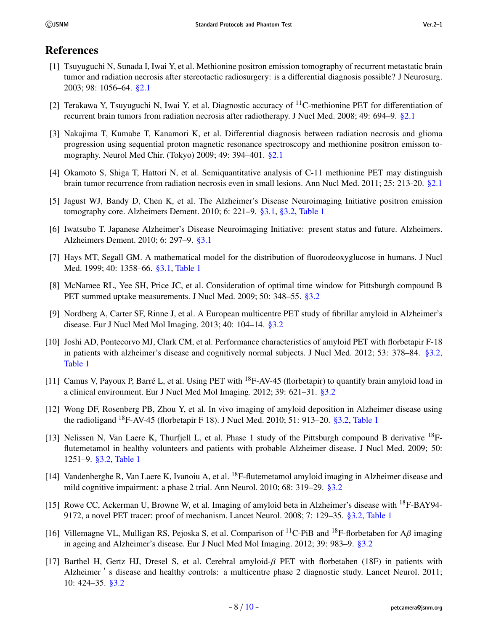### References

- <span id="page-7-0"></span>[1] Tsuyuguchi N, Sunada I, Iwai Y, et al. Methionine positron emission tomography of recurrent metastatic brain tumor and radiation necrosis after stereotactic radiosurgery: is a differential diagnosis possible? J Neurosurg. 2003; 98: 1056–64. [§2.1](#page-0-0)
- [2] Terakawa Y, Tsuyuguchi N, Iwai Y, et al. Diagnostic accuracy of  $^{11}$ C-methionine PET for differentiation of recurrent brain tumors from radiation necrosis after radiotherapy. J Nucl Med. 2008; 49: 694–9. [§2.1](#page-0-0)
- [3] Nakajima T, Kumabe T, Kanamori K, et al. Differential diagnosis between radiation necrosis and glioma progression using sequential proton magnetic resonance spectroscopy and methionine positron emisson tomography. Neurol Med Chir. (Tokyo) 2009; 49: 394–401. [§2.1](#page-0-0)
- <span id="page-7-1"></span>[4] Okamoto S, Shiga T, Hattori N, et al. Semiquantitative analysis of C-11 methionine PET may distinguish brain tumor recurrence from radiation necrosis even in small lesions. Ann Nucl Med. 2011; 25: 213-20. [§2.1](#page-0-0)
- <span id="page-7-2"></span>[5] Jagust WJ, Bandy D, Chen K, et al. The Alzheimer's Disease Neuroimaging Initiative positron emission tomography core. Alzheimers Dement. 2010; 6: 221–9. [§3.1](#page-1-0), [§3.2,](#page-1-1) [Table 1](#page-3-0)
- [6] Iwatsubo T. Japanese Alzheimer's Disease Neuroimaging Initiative: present status and future. Alzheimers. Alzheimers Dement. 2010; 6: 297–9. [§3.1](#page-1-0)
- <span id="page-7-3"></span>[7] Hays MT, Segall GM. A mathematical model for the distribution of fluorodeoxyglucose in humans. J Nucl Med. 1999; 40: 1358–66. [§3.1,](#page-1-0) [Table 1](#page-3-0)
- <span id="page-7-4"></span>[8] McNamee RL, Yee SH, Price JC, et al. Consideration of optimal time window for Pittsburgh compound B PET summed uptake measurements. J Nucl Med. 2009; 50: 348–55. [§3.2](#page-1-1)
- <span id="page-7-5"></span>[9] Nordberg A, Carter SF, Rinne J, et al. A European multicentre PET study of fibrillar amyloid in Alzheimer's disease. Eur J Nucl Med Mol Imaging. 2013; 40: 104–14. [§3.2](#page-1-1)
- <span id="page-7-6"></span>[10] Joshi AD, Pontecorvo MJ, Clark CM, et al. Performance characteristics of amyloid PET with florbetapir F-18 in patients with alzheimer's disease and cognitively normal subjects. J Nucl Med. 2012; 53: 378–84. [§3.2,](#page-1-1) [Table 1](#page-3-0)
- [11] Camus V, Payoux P, Barré L, et al. Using PET with <sup>18</sup>F-AV-45 (florbetapir) to quantify brain amyloid load in a clinical environment. Eur J Nucl Med Mol Imaging. 2012; 39: 621–31. [§3.2](#page-1-1)
- <span id="page-7-7"></span>[12] Wong DF, Rosenberg PB, Zhou Y, et al. In vivo imaging of amyloid deposition in Alzheimer disease using the radioligand <sup>18</sup>F-AV-45 (florbetapir F 18). J Nucl Med. 2010; 51: 913–20. [§3.2,](#page-1-1) [Table 1](#page-3-0)
- <span id="page-7-8"></span>[13] Nelissen N, Van Laere K, Thurfjell L, et al. Phase 1 study of the Pittsburgh compound B derivative <sup>18</sup>Fflutemetamol in healthy volunteers and patients with probable Alzheimer disease. J Nucl Med. 2009; 50: 1251–9. [§3.2,](#page-1-1) [Table 1](#page-3-0)
- <span id="page-7-9"></span>[14] Vandenberghe R, Van Laere K, Ivanoiu A, et al. <sup>18</sup>F-flutemetamol amyloid imaging in Alzheimer disease and mild cognitive impairment: a phase 2 trial. Ann Neurol. 2010; 68: 319–29. [§3.2](#page-1-1)
- <span id="page-7-10"></span>[15] Rowe CC, Ackerman U, Browne W, et al. Imaging of amyloid beta in Alzheimer's disease with <sup>18</sup>F-BAY94- 9172, a novel PET tracer: proof of mechanism. Lancet Neurol. 2008; 7: 129–35. [§3.2,](#page-1-1) [Table 1](#page-3-0)
- [16] Villemagne VL, Mulligan RS, Pejoska S, et al. Comparison of <sup>11</sup>C-PiB and <sup>18</sup>F-florbetaben for A*β* imaging in ageing and Alzheimer's disease. Eur J Nucl Med Mol Imaging. 2012; 39: 983–9. [§3.2](#page-1-1)
- <span id="page-7-11"></span>[17] Barthel H, Gertz HJ, Dresel S, et al. Cerebral amyloid-β PET with florbetaben (18F) in patients with Alzheimer 's disease and healthy controls: a multicentre phase 2 diagnostic study. Lancet Neurol. 2011; 10: 424–35. [§3.2](#page-1-1)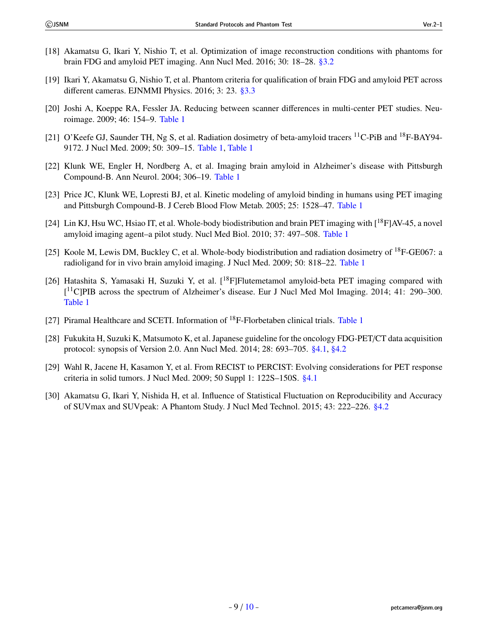- <span id="page-8-0"></span>[18] Akamatsu G, Ikari Y, Nishio T, et al. Optimization of image reconstruction conditions with phantoms for brain FDG and amyloid PET imaging. Ann Nucl Med. 2016; 30: 18–28. [§3.2](#page-1-1)
- <span id="page-8-1"></span>[19] Ikari Y, Akamatsu G, Nishio T, et al. Phantom criteria for qualification of brain FDG and amyloid PET across different cameras. EJNMMI Physics. 2016; 3: 23. [§3.3](#page-2-0)
- <span id="page-8-2"></span>[20] Joshi A, Koeppe RA, Fessler JA. Reducing between scanner differences in multi-center PET studies. Neuroimage. 2009; 46: 154–9. [Table 1](#page-3-0)
- <span id="page-8-3"></span>[21] O'Keefe GJ, Saunder TH, Ng S, et al. Radiation dosimetry of beta-amyloid tracers <sup>11</sup>C-PiB and <sup>18</sup>F-BAY94-9172. J Nucl Med. 2009; 50: 309–15. [Table 1](#page-3-0), [Table 1](#page-3-0)
- [22] Klunk WE, Engler H, Nordberg A, et al. Imaging brain amyloid in Alzheimer's disease with Pittsburgh Compound-B. Ann Neurol. 2004; 306–19. [Table 1](#page-3-0)
- <span id="page-8-4"></span>[23] Price JC, Klunk WE, Lopresti BJ, et al. Kinetic modeling of amyloid binding in humans using PET imaging and Pittsburgh Compound-B. J Cereb Blood Flow Metab. 2005; 25: 1528–47. [Table 1](#page-3-0)
- <span id="page-8-5"></span>[24] Lin KJ, Hsu WC, Hsiao IT, et al. Whole-body biodistribution and brain PET imaging with [<sup>18</sup>F]AV-45, a novel amyloid imaging agent–a pilot study. Nucl Med Biol. 2010; 37: 497–508. [Table 1](#page-3-0)
- <span id="page-8-6"></span>[25] Koole M, Lewis DM, Buckley C, et al. Whole-body biodistribution and radiation dosimetry of  $^{18}$ F-GE067: a radioligand for in vivo brain amyloid imaging. J Nucl Med. 2009; 50: 818–22. [Table 1](#page-3-0)
- <span id="page-8-7"></span>[26] Hatashita S, Yamasaki H, Suzuki Y, et al.  $[{}^{18}F]$ Flutemetamol amyloid-beta PET imaging compared with [ <sup>11</sup>C]PIB across the spectrum of Alzheimer's disease. Eur J Nucl Med Mol Imaging. 2014; 41: 290–300. [Table 1](#page-3-0)
- <span id="page-8-8"></span>[27] Piramal Healthcare and SCETI. Information of <sup>18</sup>F-Florbetaben clinical trials. [Table 1](#page-3-0)
- <span id="page-8-9"></span>[28] Fukukita H, Suzuki K, Matsumoto K, et al. Japanese guideline for the oncology FDG-PET/CT data acquisition protocol: synopsis of Version 2.0. Ann Nucl Med. 2014; 28: 693–705. [§4.1](#page-4-0), [§4.2](#page-4-1)
- <span id="page-8-10"></span>[29] Wahl R, Jacene H, Kasamon Y, et al. From RECIST to PERCIST: Evolving considerations for PET response criteria in solid tumors. J Nucl Med. 2009; 50 Suppl 1: 122S–150S. [§4.1](#page-4-0)
- <span id="page-8-11"></span>[30] Akamatsu G, Ikari Y, Nishida H, et al. Influence of Statistical Fluctuation on Reproducibility and Accuracy of SUVmax and SUVpeak: A Phantom Study. J Nucl Med Technol. 2015; 43: 222–226. [§4.2](#page-4-1)